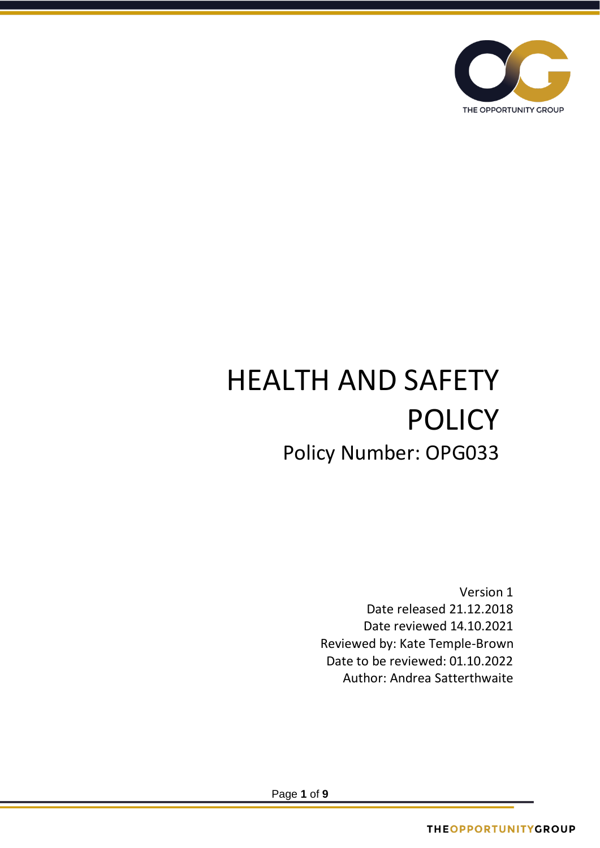

# HEALTH AND SAFETY POLICY Policy Number: OPG033

Version 1 Date released 21.12.2018 Date reviewed 14.10.2021 Reviewed by: Kate Temple-Brown Date to be reviewed: 01.10.2022 Author: Andrea Satterthwaite

Page **1** of **9**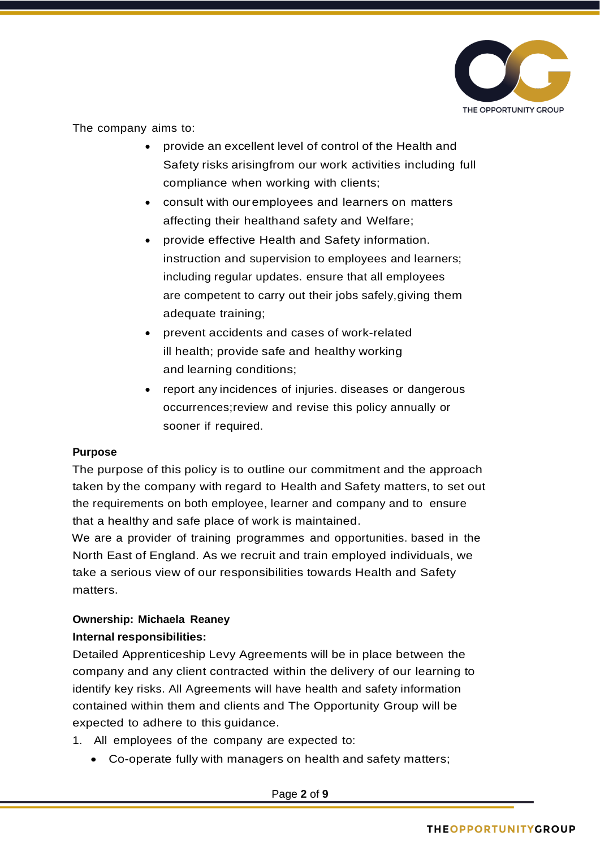

The company aims to:

- provide an excellent level of control of the Health and Safety risks arisingfrom our work activities including full compliance when working with clients;
- consult with ouremployees and learners on matters affecting their healthand safety and Welfare;
- provide effective Health and Safety information. instruction and supervision to employees and learners; including regular updates. ensure that all employees are competent to carry out their jobs safely,giving them adequate training;
- prevent accidents and cases of work-related ill health; provide safe and healthy working and learning conditions;
- report any incidences of injuries. diseases or dangerous occurrences;review and revise this policy annually or sooner if required.

# **Purpose**

The purpose of this policy is to outline our commitment and the approach taken by the company with regard to Health and Safety matters, to set out the requirements on both employee, learner and company and to ensure that a healthy and safe place of work is maintained.

We are a provider of training programmes and opportunities. based in the North East of England. As we recruit and train employed individuals, we take a serious view of our responsibilities towards Health and Safety matters.

# **Ownership: Michaela Reaney Internal responsibilities:**

Detailed Apprenticeship Levy Agreements will be in place between the company and any client contracted within the delivery of our learning to identify key risks. All Agreements will have health and safety information contained within them and clients and The Opportunity Group will be expected to adhere to this guidance.

- 1. All employees of the company are expected to:
	- Co-operate fully with managers on health and safety matters;

Page **2** of **9**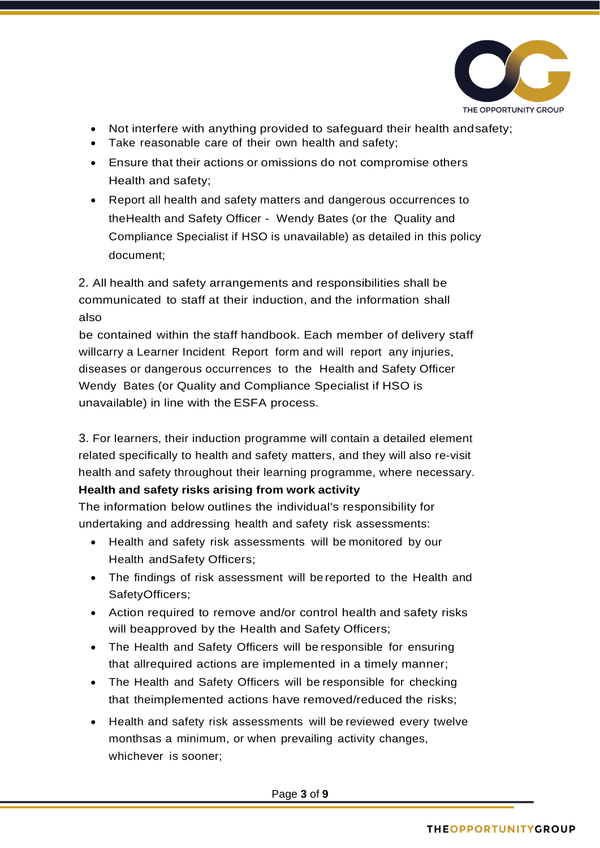

- Not interfere with anything provided to safeguard their health andsafety;
- Take reasonable care of their own health and safety;
- Ensure that their actions or omissions do not compromise others Health and safety;
- Report all health and safety matters and dangerous occurrences to theHealth and Safety Officer - Wendy Bates (or the Quality and Compliance Specialist if HSO is unavailable) as detailed in this policy document;

2. All health and safety arrangements and responsibilities shall be communicated to staff at their induction, and the information shall also

be contained within the staff handbook. Each member of delivery staff willcarry a Learner Incident Report form and will report any injuries, diseases or dangerous occurrences to the Health and Safety Officer Wendy Bates (or Quality and Compliance Specialist if HSO is unavailable) in line with the ESFA process.

3. For learners, their induction programme will contain a detailed element related specifically to health and safety matters, and they will also re-visit health and safety throughout their learning programme, where necessary.

# **Health and safety risks arising from work activity**

The information below outlines the individual's responsibility for undertaking and addressing health and safety risk assessments:

- Health and safety risk assessments will be monitored by our Health andSafety Officers;
- The findings of risk assessment will be reported to the Health and SafetyOfficers;
- Action required to remove and/or control health and safety risks will beapproved by the Health and Safety Officers;
- The Health and Safety Officers will be responsible for ensuring that allrequired actions are implemented in a timely manner;
- The Health and Safety Officers will be responsible for checking that theimplemented actions have removed/reduced the risks;
- Health and safety risk assessments will be reviewed every twelve monthsas a minimum, or when prevailing activity changes, whichever is sooner;

Page **3** of **9**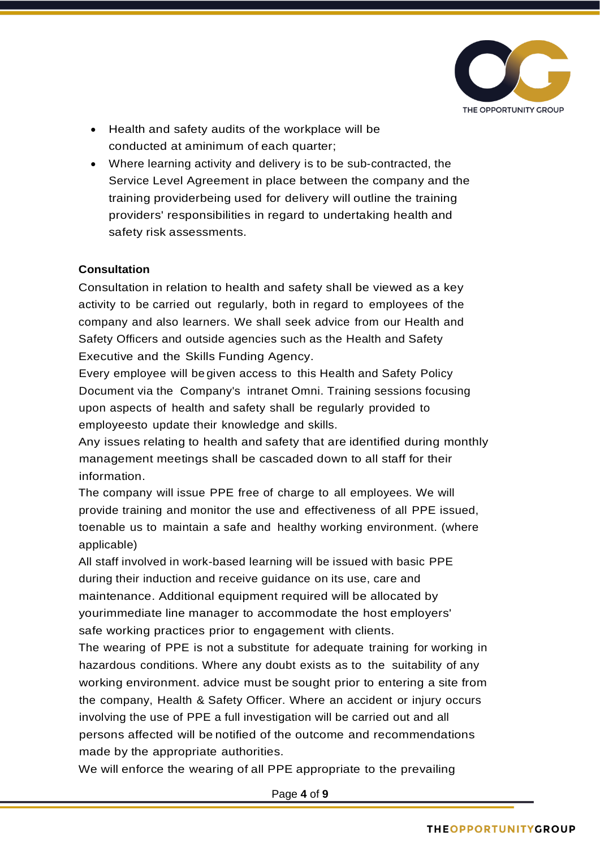

- Health and safety audits of the workplace will be conducted at aminimum of each quarter;
- Where learning activity and delivery is to be sub-contracted, the Service Level Agreement in place between the company and the training providerbeing used for delivery will outline the training providers' responsibilities in regard to undertaking health and safety risk assessments.

#### **Consultation**

Consultation in relation to health and safety shall be viewed as a key activity to be carried out regularly, both in regard to employees of the company and also learners. We shall seek advice from our Health and Safety Officers and outside agencies such as the Health and Safety Executive and the Skills Funding Agency.

Every employee will be given access to this Health and Safety Policy Document via the Company's intranet Omni. Training sessions focusing upon aspects of health and safety shall be regularly provided to employeesto update their knowledge and skills.

Any issues relating to health and safety that are identified during monthly management meetings shall be cascaded down to all staff for their information.

The company will issue PPE free of charge to all employees. We will provide training and monitor the use and effectiveness of all PPE issued, toenable us to maintain a safe and healthy working environment. (where applicable)

All staff involved in work-based learning will be issued with basic PPE during their induction and receive guidance on its use, care and maintenance. Additional equipment required will be allocated by yourimmediate line manager to accommodate the host employers' safe working practices prior to engagement with clients.

The wearing of PPE is not a substitute for adequate training for working in hazardous conditions. Where any doubt exists as to the suitability of any working environment. advice must be sought prior to entering a site from the company, Health & Safety Officer. Where an accident or injury occurs involving the use of PPE a full investigation will be carried out and all persons affected will be notified of the outcome and recommendations made by the appropriate authorities.

We will enforce the wearing of all PPE appropriate to the prevailing

Page **4** of **9**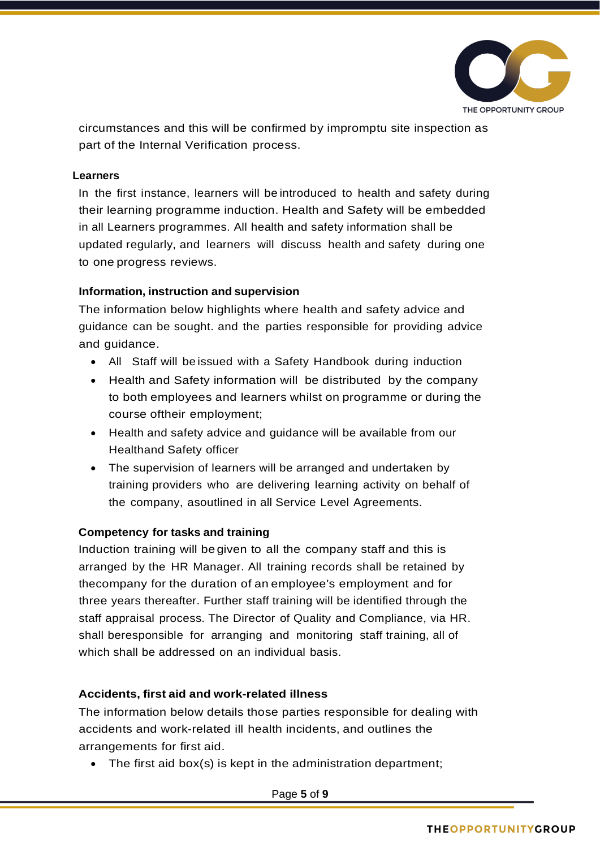

circumstances and this will be confirmed by impromptu site inspection as part of the Internal Verification process.

#### **Learners**

In the first instance, learners will be introduced to health and safety during their learning programme induction. Health and Safety will be embedded in all Learners programmes. All health and safety information shall be updated regularly, and learners will discuss health and safety during one to one progress reviews.

#### **Information, instruction and supervision**

The information below highlights where health and safety advice and guidance can be sought. and the parties responsible for providing advice and guidance.

- All Staff will be issued with a Safety Handbook during induction
- Health and Safety information will be distributed by the company to both employees and learners whilst on programme or during the course oftheir employment;
- Health and safety advice and guidance will be available from our Healthand Safety officer
- The supervision of learners will be arranged and undertaken by training providers who are delivering learning activity on behalf of the company, asoutlined in all Service Level Agreements.

# **Competency for tasks and training**

Induction training will be given to all the company staff and this is arranged by the HR Manager. All training records shall be retained by thecompany for the duration of an employee's employment and for three years thereafter. Further staff training will be identified through the staff appraisal process. The Director of Quality and Compliance, via HR. shall beresponsible for arranging and monitoring staff training, all of which shall be addressed on an individual basis.

# **Accidents, first aid and work-related illness**

The information below details those parties responsible for dealing with accidents and work-related ill health incidents, and outlines the arrangements for first aid.

• The first aid box(s) is kept in the administration department;

Page **5** of **9**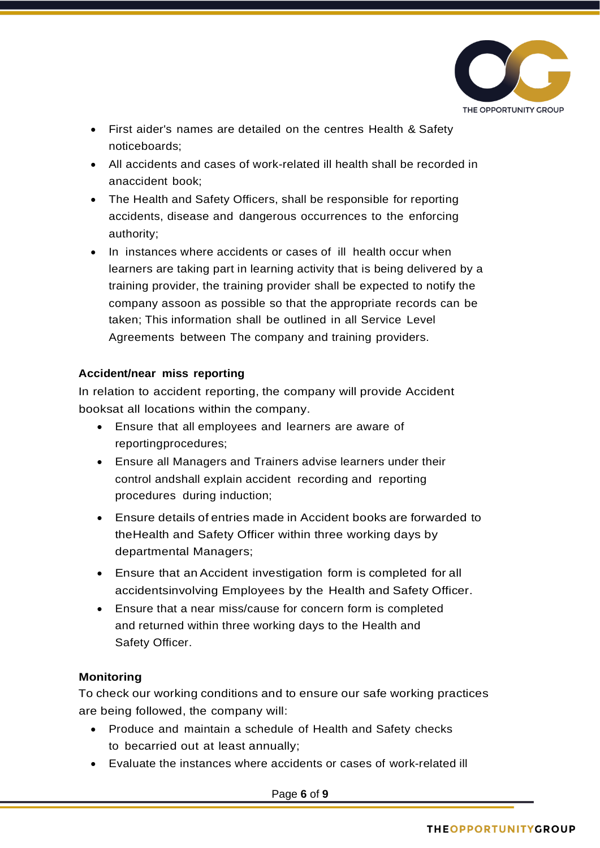

- First aider's names are detailed on the centres Health & Safety noticeboards;
- All accidents and cases of work-related ill health shall be recorded in anaccident book;
- The Health and Safety Officers, shall be responsible for reporting accidents, disease and dangerous occurrences to the enforcing authority;
- In instances where accidents or cases of ill health occur when learners are taking part in learning activity that is being delivered by a training provider, the training provider shall be expected to notify the company assoon as possible so that the appropriate records can be taken; This information shall be outlined in all Service Level Agreements between The company and training providers.

#### **Accident/near miss reporting**

In relation to accident reporting, the company will provide Accident booksat all locations within the company.

- Ensure that all employees and learners are aware of reportingprocedures;
- Ensure all Managers and Trainers advise learners under their control andshall explain accident recording and reporting procedures during induction;
- Ensure details of entries made in Accident books are forwarded to theHealth and Safety Officer within three working days by departmental Managers;
- Ensure that an Accident investigation form is completed for all accidentsinvolving Employees by the Health and Safety Officer.
- Ensure that a near miss/cause for concern form is completed and returned within three working days to the Health and Safety Officer.

# **Monitoring**

To check our working conditions and to ensure our safe working practices are being followed, the company will:

- Produce and maintain a schedule of Health and Safety checks to becarried out at least annually;
- Evaluate the instances where accidents or cases of work-related ill

Page **6** of **9**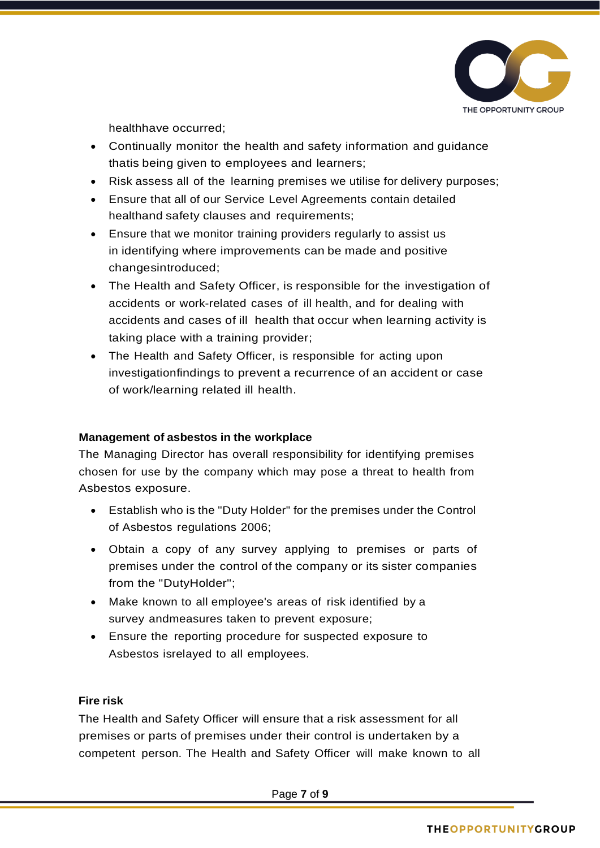

healthhave occurred;

- Continually monitor the health and safety information and guidance thatis being given to employees and learners;
- Risk assess all of the learning premises we utilise for delivery purposes;
- Ensure that all of our Service Level Agreements contain detailed healthand safety clauses and requirements;
- Ensure that we monitor training providers regularly to assist us in identifying where improvements can be made and positive changesintroduced;
- The Health and Safety Officer, is responsible for the investigation of accidents or work-related cases of ill health, and for dealing with accidents and cases of ill health that occur when learning activity is taking place with a training provider;
- The Health and Safety Officer, is responsible for acting upon investigationfindings to prevent a recurrence of an accident or case of work/learning related ill health.

# **Management of asbestos in the workplace**

The Managing Director has overall responsibility for identifying premises chosen for use by the company which may pose a threat to health from Asbestos exposure.

- Establish who is the "Duty Holder" for the premises under the Control of Asbestos regulations 2006;
- Obtain a copy of any survey applying to premises or parts of premises under the control of the company or its sister companies from the "DutyHolder";
- Make known to all employee's areas of risk identified by a survey andmeasures taken to prevent exposure;
- Ensure the reporting procedure for suspected exposure to Asbestos isrelayed to all employees.

# **Fire risk**

The Health and Safety Officer will ensure that a risk assessment for all premises or parts of premises under their control is undertaken by a competent person. The Health and Safety Officer will make known to all

Page **7** of **9**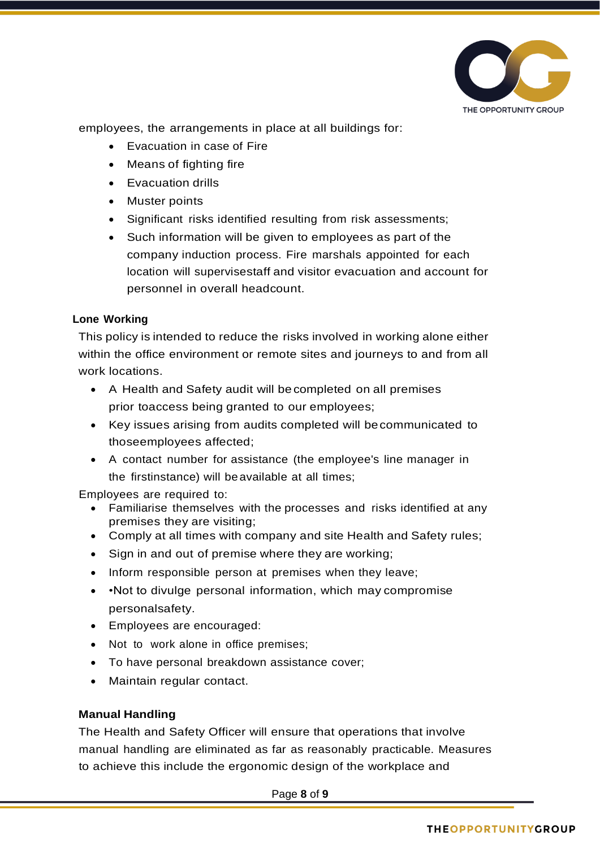

employees, the arrangements in place at all buildings for:

- Evacuation in case of Fire
- Means of fighting fire
- Evacuation drills
- Muster points
- Significant risks identified resulting from risk assessments;
- Such information will be given to employees as part of the company induction process. Fire marshals appointed for each location will supervisestaff and visitor evacuation and account for personnel in overall headcount.

# **Lone Working**

This policy is intended to reduce the risks involved in working alone either within the office environment or remote sites and journeys to and from all work locations.

- A Health and Safety audit will be completed on all premises prior toaccess being granted to our employees;
- Key issues arising from audits completed will becommunicated to thoseemployees affected;
- A contact number for assistance (the employee's line manager in the firstinstance) will beavailable at all times;

Employees are required to:

- Familiarise themselves with the processes and risks identified at any premises they are visiting;
- Comply at all times with company and site Health and Safety rules;
- Sign in and out of premise where they are working;
- Inform responsible person at premises when they leave;
- • Not to divulge personal information, which may compromise personalsafety.
- Employees are encouraged:
- Not to work alone in office premises;
- To have personal breakdown assistance cover;
- Maintain regular contact.

#### **Manual Handling**

The Health and Safety Officer will ensure that operations that involve manual handling are eliminated as far as reasonably practicable. Measures to achieve this include the ergonomic design of the workplace and

Page **8** of **9**